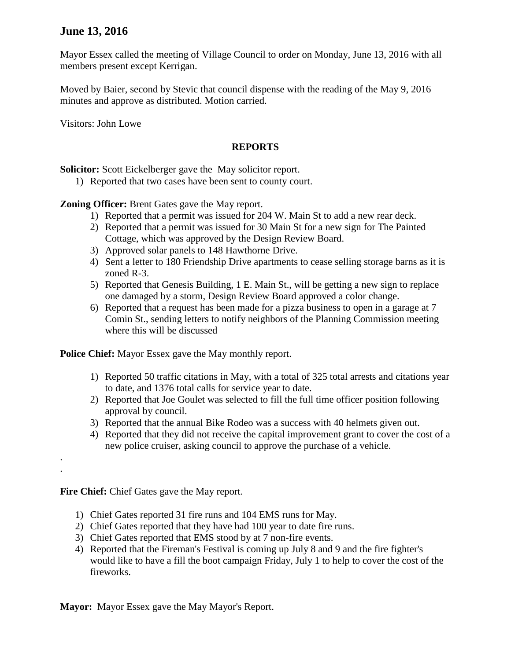## **June 13, 2016**

Mayor Essex called the meeting of Village Council to order on Monday, June 13, 2016 with all members present except Kerrigan.

Moved by Baier, second by Stevic that council dispense with the reading of the May 9, 2016 minutes and approve as distributed. Motion carried.

Visitors: John Lowe

## **REPORTS**

**Solicitor:** Scott Eickelberger gave the May solicitor report.

1) Reported that two cases have been sent to county court.

**Zoning Officer:** Brent Gates gave the May report.

- 1) Reported that a permit was issued for 204 W. Main St to add a new rear deck.
- 2) Reported that a permit was issued for 30 Main St for a new sign for The Painted Cottage, which was approved by the Design Review Board.
- 3) Approved solar panels to 148 Hawthorne Drive.
- 4) Sent a letter to 180 Friendship Drive apartments to cease selling storage barns as it is zoned R-3.
- 5) Reported that Genesis Building, 1 E. Main St., will be getting a new sign to replace one damaged by a storm, Design Review Board approved a color change.
- 6) Reported that a request has been made for a pizza business to open in a garage at 7 Comin St., sending letters to notify neighbors of the Planning Commission meeting where this will be discussed

**Police Chief:** Mayor Essex gave the May monthly report.

- 1) Reported 50 traffic citations in May, with a total of 325 total arrests and citations year to date, and 1376 total calls for service year to date.
- 2) Reported that Joe Goulet was selected to fill the full time officer position following approval by council.
- 3) Reported that the annual Bike Rodeo was a success with 40 helmets given out.
- 4) Reported that they did not receive the capital improvement grant to cover the cost of a new police cruiser, asking council to approve the purchase of a vehicle.

**Fire Chief:** Chief Gates gave the May report.

. .

- 1) Chief Gates reported 31 fire runs and 104 EMS runs for May.
- 2) Chief Gates reported that they have had 100 year to date fire runs.
- 3) Chief Gates reported that EMS stood by at 7 non-fire events.
- 4) Reported that the Fireman's Festival is coming up July 8 and 9 and the fire fighter's would like to have a fill the boot campaign Friday, July 1 to help to cover the cost of the fireworks.

**Mayor:** Mayor Essex gave the May Mayor's Report.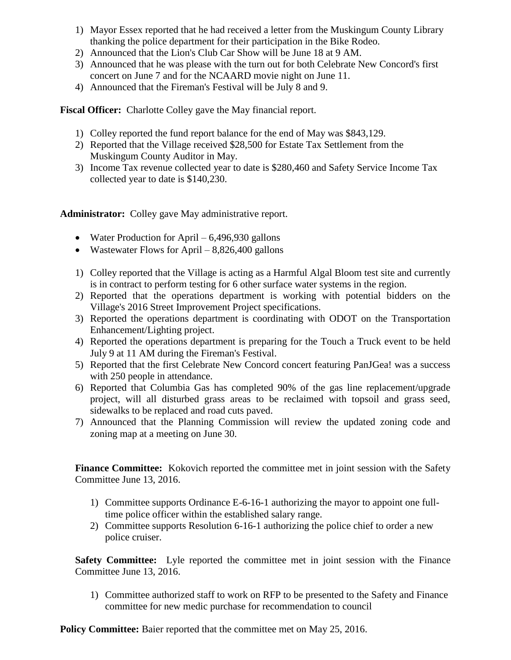- 1) Mayor Essex reported that he had received a letter from the Muskingum County Library thanking the police department for their participation in the Bike Rodeo.
- 2) Announced that the Lion's Club Car Show will be June 18 at 9 AM.
- 3) Announced that he was please with the turn out for both Celebrate New Concord's first concert on June 7 and for the NCAARD movie night on June 11.
- 4) Announced that the Fireman's Festival will be July 8 and 9.

**Fiscal Officer:** Charlotte Colley gave the May financial report.

- 1) Colley reported the fund report balance for the end of May was \$843,129.
- 2) Reported that the Village received \$28,500 for Estate Tax Settlement from the Muskingum County Auditor in May.
- 3) Income Tax revenue collected year to date is \$280,460 and Safety Service Income Tax collected year to date is \$140,230.

**Administrator:** Colley gave May administrative report.

- Water Production for April 6,496,930 gallons
- Wastewater Flows for April  $-8,826,400$  gallons
- 1) Colley reported that the Village is acting as a Harmful Algal Bloom test site and currently is in contract to perform testing for 6 other surface water systems in the region.
- 2) Reported that the operations department is working with potential bidders on the Village's 2016 Street Improvement Project specifications.
- 3) Reported the operations department is coordinating with ODOT on the Transportation Enhancement/Lighting project.
- 4) Reported the operations department is preparing for the Touch a Truck event to be held July 9 at 11 AM during the Fireman's Festival.
- 5) Reported that the first Celebrate New Concord concert featuring PanJGea! was a success with 250 people in attendance.
- 6) Reported that Columbia Gas has completed 90% of the gas line replacement/upgrade project, will all disturbed grass areas to be reclaimed with topsoil and grass seed, sidewalks to be replaced and road cuts paved.
- 7) Announced that the Planning Commission will review the updated zoning code and zoning map at a meeting on June 30.

**Finance Committee:** Kokovich reported the committee met in joint session with the Safety Committee June 13, 2016.

- 1) Committee supports Ordinance E-6-16-1 authorizing the mayor to appoint one fulltime police officer within the established salary range.
- 2) Committee supports Resolution 6-16-1 authorizing the police chief to order a new police cruiser.

**Safety Committee:** Lyle reported the committee met in joint session with the Finance Committee June 13, 2016.

1) Committee authorized staff to work on RFP to be presented to the Safety and Finance committee for new medic purchase for recommendation to council

**Policy Committee:** Baier reported that the committee met on May 25, 2016.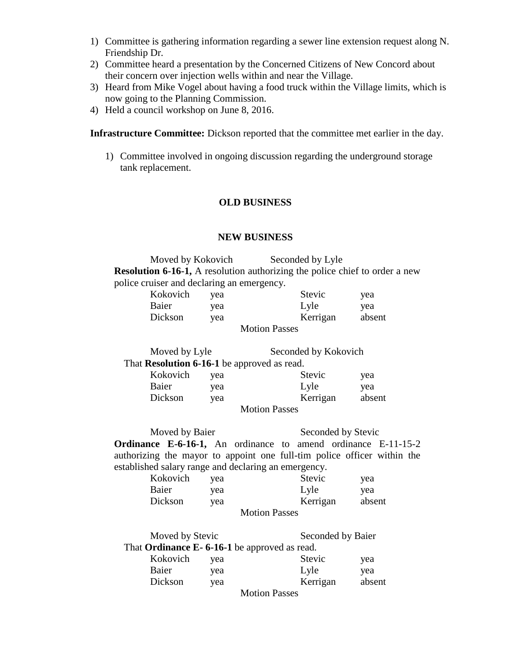- 1) Committee is gathering information regarding a sewer line extension request along N. Friendship Dr.
- 2) Committee heard a presentation by the Concerned Citizens of New Concord about their concern over injection wells within and near the Village.
- 3) Heard from Mike Vogel about having a food truck within the Village limits, which is now going to the Planning Commission.
- 4) Held a council workshop on June 8, 2016.

**Infrastructure Committee:** Dickson reported that the committee met earlier in the day.

1) Committee involved in ongoing discussion regarding the underground storage tank replacement.

## **OLD BUSINESS**

## **NEW BUSINESS**

Moved by Kokovich Seconded by Lyle **Resolution 6-16-1,** A resolution authorizing the police chief to order a new police cruiser and declaring an emergency.

| Kokovich | yea | Stevic               | yea    |
|----------|-----|----------------------|--------|
| Baier    | yea | Lyle                 | yea    |
| Dickson  | vea | Kerrigan             | absent |
|          |     | <b>Motion Passes</b> |        |

| Moved by Lyle                               |     |                      | Seconded by Kokovich |  |
|---------------------------------------------|-----|----------------------|----------------------|--|
| That Resolution 6-16-1 be approved as read. |     |                      |                      |  |
| Kokovich                                    | yea | Stevic               | yea                  |  |
| Baier                                       | yea | Lyle                 | yea                  |  |
| Dickson                                     | yea | Kerrigan             | absent               |  |
|                                             |     | <b>Motion Passes</b> |                      |  |

Moved by Baier Seconded by Stevic **Ordinance E-6-16-1,** An ordinance to amend ordinance E-11-15-2 authorizing the mayor to appoint one full-tim police officer within the established salary range and declaring an emergency.

| Kokovich | yea | Stevic               | yea    |
|----------|-----|----------------------|--------|
| Baier    | yea | Lyle                 | vea    |
| Dickson  | vea | Kerrigan             | absent |
|          |     | <b>Motion Passes</b> |        |

| Moved by Stevic                              |     |                      | Seconded by Baier |  |
|----------------------------------------------|-----|----------------------|-------------------|--|
| That Ordinance E-6-16-1 be approved as read. |     |                      |                   |  |
| Kokovich                                     | vea | Stevic               | yea               |  |
| Baier                                        | yea | Lyle                 | yea               |  |
| Dickson                                      | yea | Kerrigan             | absent            |  |
|                                              |     | <b>Motion Passes</b> |                   |  |